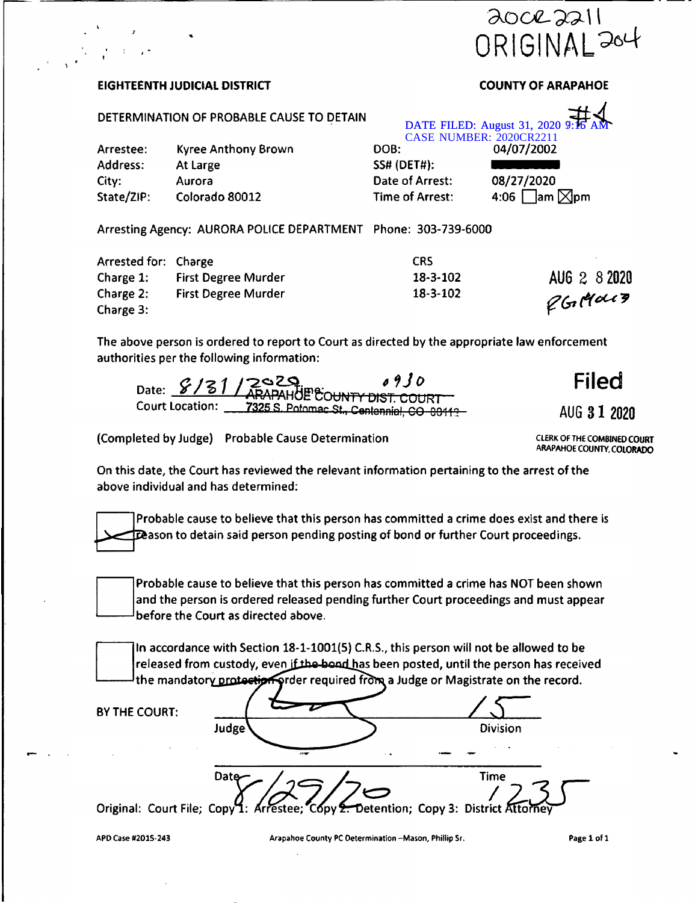

## **EIGHTEENTH JUDICIAL DISTRICT COUNTY OF ARAPAHOE**

## **DETERMINATION OF PROBABLE CAUSE TO DETAIN**

|            |                            | DATE FILED: August 31, 2020 9:16 AM<br>CASE NUMBER: 2020CR2211 |                                   |  |
|------------|----------------------------|----------------------------------------------------------------|-----------------------------------|--|
| Arrestee:  | <b>Kyree Anthony Brown</b> | DOB:                                                           | 04/07/2002                        |  |
| Address:   | At Large                   | <b>SS# (DET#):</b>                                             |                                   |  |
| City:      | Aurora                     | Date of Arrest:                                                | 08/27/2020                        |  |
| State/ZIP: | Colorado 80012             | Time of Arrest:                                                | $\square$ am $\square$ pm<br>4:06 |  |

**Arresting Agency: AURORA POLICE DEPARTMENT Phone: 303-739-6000**

| Arrested for: Charge |                            | CRS.     |              |
|----------------------|----------------------------|----------|--------------|
| Charge $1:$          | <b>First Degree Murder</b> | 18-3-102 | AUG 2 8 2020 |
| Charge $2:$          | <b>First Degree Murder</b> | 18-3-102 | 2G(4013)     |
| Charge 3:            |                            |          |              |

**The above person is ordered to report to Court as directed by the appropriate law enforcement authorities per the following information:**

|                        | Jate: 8/81/2029 07JU                             | Filed        |
|------------------------|--------------------------------------------------|--------------|
| <b>Court Location:</b> | <b>7325 S. Potomac St., Centennial, CO 80112</b> | AUG 3 1 2020 |

**(Completed by Judge) Probable Cause Determination CLERK OF THE COMBINEDCOURT**

**ARAPAHOE COUNTY,COLORADO**

**On this date,the Court has reviewed the relevant information pertaining to the arrest of the above individual and has determined:**

**Probable cause to believe that this person has committed a crime does exist and there is Season to detain said person pending posting of bond or further Court proceedings.**



**Probable cause to believe that this person has committed a crime has NOT been shown and the person is ordered released pending further Court proceedings and must appear before the Court as directed above.**

**In accordance with Section 18-1-1001(5) C.R.S., this person will not be allowed to be** *teleased from custody, even if the bond has been posted, until the person has received* **rder required frcJta a Judge or Magistrate on the record. the mandato**

## **BY THE COURT:**

**Judge Division Dat** *fime*<br>*Copy 2 Detention*; Copy 3: District Atto

**Original: Court File; Copy 1: Arrestee;**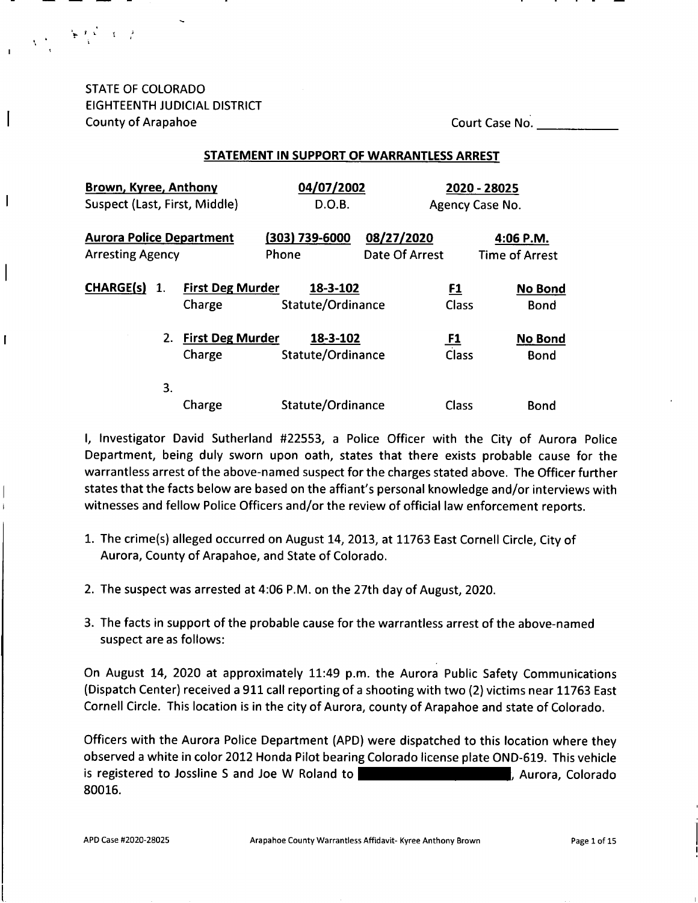STATE OF COLORADO EIGHTEENTH JUDICIAL DISTRICT County of Arapahoe Court Case No.

» to. J <sup>i</sup>. t

 $\mathsf{l}$ 

T

## **STATEMENT IN SUPPORT OF WARRANTLESS ARREST**

| Brown, Kyree, Anthony           |    |                         | 04/07/2002        |                |           | 2020 - 28025          |
|---------------------------------|----|-------------------------|-------------------|----------------|-----------|-----------------------|
| Suspect (Last, First, Middle)   |    |                         | D.O.B.            |                |           | Agency Case No.       |
| <b>Aurora Police Department</b> |    |                         | (303) 739-6000    | 08/27/2020     |           | 4:06 P.M.             |
| <b>Arresting Agency</b>         |    |                         | Phone             | Date Of Arrest |           | <b>Time of Arrest</b> |
| <b>CHARGE(s)</b>                | 1. | <b>First Deg Murder</b> | 18-3-102          |                | <u>F1</u> | No Bond               |
|                                 |    | Charge                  | Statute/Ordinance |                | Class     | <b>Bond</b>           |
|                                 | 2. | <b>First Deg Murder</b> | 18-3-102          |                | <u>F1</u> | No Bond               |
|                                 |    | Charge                  | Statute/Ordinance |                | Class     | <b>Bond</b>           |
|                                 | 3. |                         |                   |                |           |                       |
|                                 |    | Charge                  | Statute/Ordinance |                | Class     | Bond                  |

<sup>I</sup>, Investigator David Sutherland #22553, <sup>a</sup> Police Officer with the City of Aurora Police Department, being duly sworn upon oath, states that there exists probable cause for the warrantless arrest of the above-named suspect for the charges stated above. The Officer further states that the facts below are based on the affiant'<sup>s</sup> personal knowledge and/or interviews with witnesses and fellow Police Officers and/or the review of official law enforcement reports.

- 1. The crime(s) alleged occurred on August 14, 2013, at 11763 East Cornell Circle, City of Aurora, County of Arapahoe, and State of Colorado.
- <sup>2</sup>. The suspect was arrested at <sup>4</sup>:<sup>06</sup> <sup>P</sup>.M. on the <sup>27</sup>th day of August, <sup>2020</sup>.
- <sup>3</sup>. The facts in support of the probable cause for the warrantless arrest of the above-named suspect are as follows:

On August <sup>14</sup>, 2020 at approximately <sup>11</sup>:<sup>49</sup> p.m. the Aurora Public Safety Communications (Dispatch Center) received a 911 call reporting of a shooting with two (2) victims near 11763 East Cornell Circle. This location is in the city of Aurora, county of Arapahoe and state of Colorado.

Officers with the Aurora Police Department (APD) were dispatched to this location where they observed <sup>a</sup> white in color <sup>2012</sup> Honda Pilot bearing Colorado license plate OND-619. This vehicle is registered to Jossline S and Joe W Roland to  $\blacksquare$  The South Haleysian Haleysian Haleysian Haleysian Haleysian Haleysian Haleysian Haleysian Haleysian Haleysian Haleysian Haleysian Haleysian Haleysian Haleysian Haleysi 80016.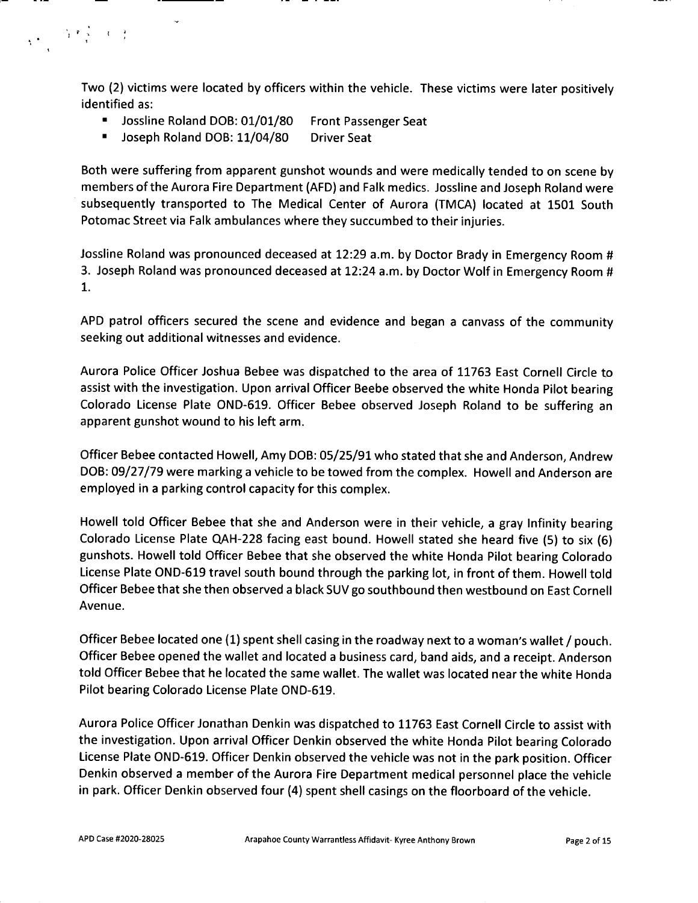**Two (2) victims were located by officers within the vehicle. These victims were later positively identified as:**

- **Jossline Roland DOB: 01/01/80 Front Passenger Seat**
- $\blacksquare$ **Joseph Roland DOB: <sup>11</sup>/04/80 Driver Seat**

 $\label{eq:2} \chi_{\text{eff}} = \frac{\sum\limits_{i=1}^{N} \mathbb{P}\left(\frac{1}{\lambda_i} - \mathbb{E}\left(\frac{1}{\lambda_i}\right)\right)}{\lambda_i}$ 

**Both were suffering from apparent gunshot wounds and were medically tended to on scene by members of the Aurora Fire Department (AFD) and Falk medics. Jossline and Joseph Roland were subsequently transported to The Medical Center of Aurora (TMCA) located at 1501 South Potomac Street via Falk ambulances where they succumbed to their injuries.**

Jossline Roland was pronounced deceased at 12:29 a.m. by Doctor Brady in Emergency Room # 3. Joseph Roland was pronounced deceased at 12:24 a.m. by Doctor Wolf in Emergency Room # **1.**

**APD patrol officers secured the scene and evidence and began <sup>a</sup> canvass of the community seeking out additional witnesses and evidence.**

**Aurora Police Officer Joshua Bebee was dispatched to the area of 11763 East Cornell Circle to assist with the investigation. Upon arrival Officer Beebe observed the white Honda Pilot bearing Colorado License Plate OND-619. Officer Bebee observed Joseph Roland to be suffering an apparent gunshot wound to his left arm.**

Officer Bebee contacted Howell, Amy DOB: 05/25/91 who stated that she and Anderson, Andrew DOB: 09/27/79 were marking a vehicle to be towed from the complex. Howell and Anderson are **employed in <sup>a</sup> parking control capacity for this complex.**

**Howell told Officer Bebee that she and Anderson were in their vehicle, <sup>a</sup> gray Infinity bearing** Colorado License Plate QAH-228 facing east bound. Howell stated she heard five (5) to six (6) **gunshots. Howell told Officer Bebee that she observed the white Honda Pilot bearing Colorado** License Plate OND-619 travel south bound through the parking lot, in front of them. Howell told **Officer Bebee that she then observed <sup>a</sup> black SUV go southbound then westbound on East Cornell Avenue.**

Officer Bebee located one (1) spent shell casing in the roadway next to a woman's wallet / pouch. Officer Bebee opened the wallet and located a business card, band aids, and a receipt. Anderson **told Officer Bebee that he located the same wallet. The wallet was located near the white Honda Pilot bearing Colorado License Plate OND-619.**

**Aurora Police Officer Jonathan Denkin was dispatched to 11763 East Cornell Circle to assist with the investigation. Upon arrival Officer Denkin observed the white Honda Pilot bearing Colorado** License Plate OND-619. Officer Denkin observed the vehicle was not in the park position. Officer **Denkin observed <sup>a</sup> member of the Aurora Fire Department medical personnel place the vehicle** in park. Officer Denkin observed four (4) spent shell casings on the floorboard of the vehicle.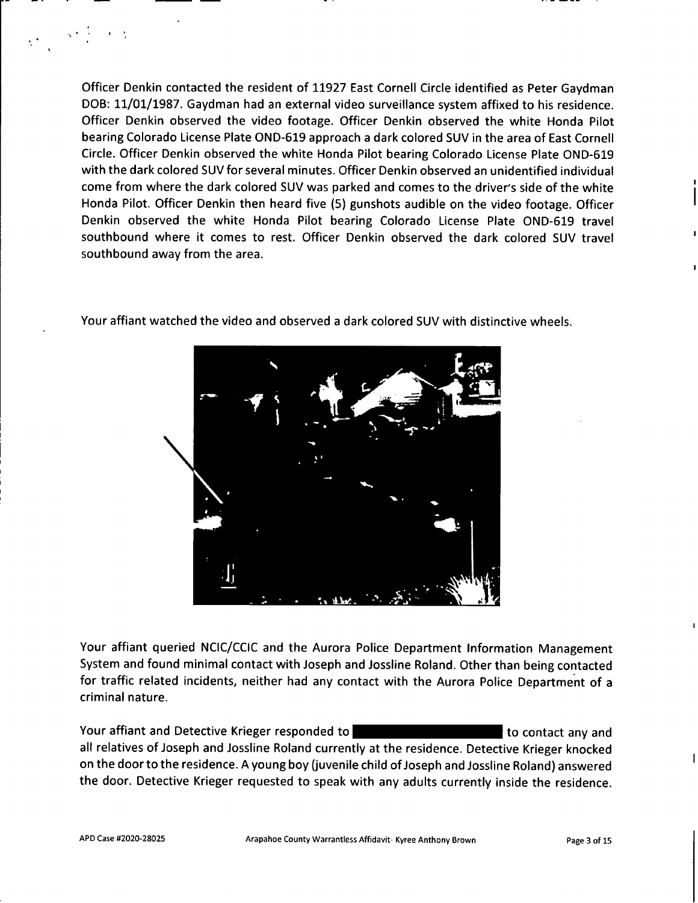**Officer Denkin contacted the resident of 11927 East Cornell Circle identified as Peter Gaydman** DOB: 11/01/1987. Gaydman had an external video surveillance system affixed to his residence. **Officer Denkin observed the video footage. Officer Denkin observed the white Honda Pilot bearing Colorado License Plate OND-619 approach <sup>a</sup> dark colored SUV in the area of East Cornell Circle. Officer Denkin observed the white Honda Pilot bearing Colorado License Plate OND-<sup>619</sup> with the dark colored SUV for several minutes. Officer Denkin observed an unidentified individual** come from where the dark colored SUV was parked and comes to the driver's side of the white Honda Pilot. Officer Denkin then heard five (5) gunshots audible on the video footage. Officer **Denkin observed the white Honda Pilot bearing Colorado License Plate OND-619 travel southbound where it comes to rest. Officer Denkin observed the dark colored SUV travel southbound away from the area.**



**Your affiant watched the video and observed <sup>a</sup> dark colored SUV with distinctive wheels.**

**Your affiant queried NCIC/CCIC and the Aurora Police Department Information Management System and found minimal contact with Joseph and Jossline Roland. Other than being contacted for traffic related incidents, neither had any contact with the Aurora Police Department of <sup>a</sup> criminal nature.**

**Your affiant and Detective Krieger responded to <sup>5376</sup> South Haleyville Way to contact any and all relatives of Joseph and Jossline Roland currently at the residence. Detective Krieger knocked** on the door to the residence. A young boy (juvenile child of Joseph and Jossline Roland) answered **the door. Detective Krieger requested to speak with any adults currently inside the residence.**

 $\sim$  km  $^{-1}$  , and  $\sim$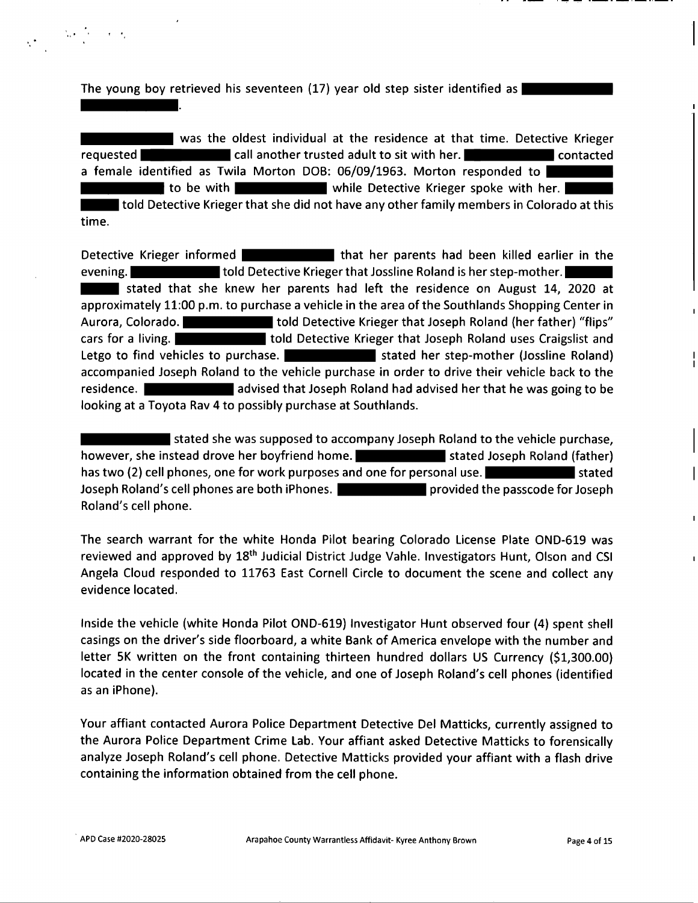**The young boy retrieved his seventeen** (17) year old step sister identified as | **DOB: 09/02/2002.**

**Madison Roland was the oldest individual at the residence at that time. Detective Krieger requested Madeiries Call another trusted adult to sit** with her. **Maddeir <b>Rolanda Contacted a female identified** as **Twila Morton DOB:** 06/09/1963. Morton responded to **H** to be with **Madison Lines I** while Detective Krieger spoke with her. **Roland told Detective Krieger that she did not have any other family members in Colorado at this time.**

**Detective** Krieger informed **Manual** *Rolanda <b>Rolanda* **that** her parents had been killed earlier in the **evening. Madison Roland told Detective Krieger that Jossline Roland is her step-mother. Madison Roland stated that she knew her parents had left the residence on August 14, 2020 at approximately 11:00 p.m. to purchase a vehicle in the area of the Southlands Shopping Center in Aurora, Colorado. Madison Roland told Detective Krieger that Joseph Roland (her father) "flips" cars for a living. Madison Roland told Detective Krieger that Joseph Roland uses Craigslist and Letgo to** find vehicles to purchase. **Manufarity 1 and 1 stated** her step-mother (Jossline Roland) **accompanied Joseph Roland to the vehicle purchase in order to drive their vehicle back to the residence. Madison Roland advised that Joseph Roland had advised her that he was going to be looking at a Toyota Rav 4 to possibly purchase at Southlands.**

**Madison Roland stated she was supposed to accompany Joseph Roland to the vehicle purchase, however,** she instead drove her boyfriend home. **Madding the Stated Joseph Roland (father) has two (2) cell phones, one for work purposes and one for personal use. Madison Roland stated Joseph Roland's cell phones are both iPhones. Madison Roland provided the passcode for Joseph Roland's cell phone.**

**The search warrant for the white Honda Pilot bearing Colorado License Plate OND-619 was reviewed and approved by 18th Judicial District Judge Vahle. Investigators Hunt, Olson and CSI Angela Cloud responded to 11763 East Cornell Circle to document the scene and collect any evidence located.**

**Inside the vehicle (white Honda Pilot OIMD-619) Investigator Hunt observed four (4) spent shell casings on the driver's side floorboard, <sup>a</sup> white Bank of America envelope with the number and letter 5K written on the front containing thirteen hundred dollars US Currency (\$1,300.00) located in the center console of the vehicle, and one of Joseph Roland's cell phones (identified as an iPhone).**

**Your affiant contacted Aurora Police Department Detective Del Matticks, currently assigned to the Aurora Police Department Crime Lab. Your affiant asked Detective Matticks to forensically analyze Joseph Roland's cell phone. Detective Matticks provided your affiant with a flash drive containing the information obtained from the cell phone.**

 $\label{eq:1} \mathcal{L}=\sum_{i=1}^n\mathcal{L}_i\left(\frac{1}{\sqrt{2}}\right)\mathcal{L}_i\left(\frac{1}{\sqrt{2}}\right)\mathcal{L}_i\left(\frac{1}{\sqrt{2}}\right).$ 

**i i**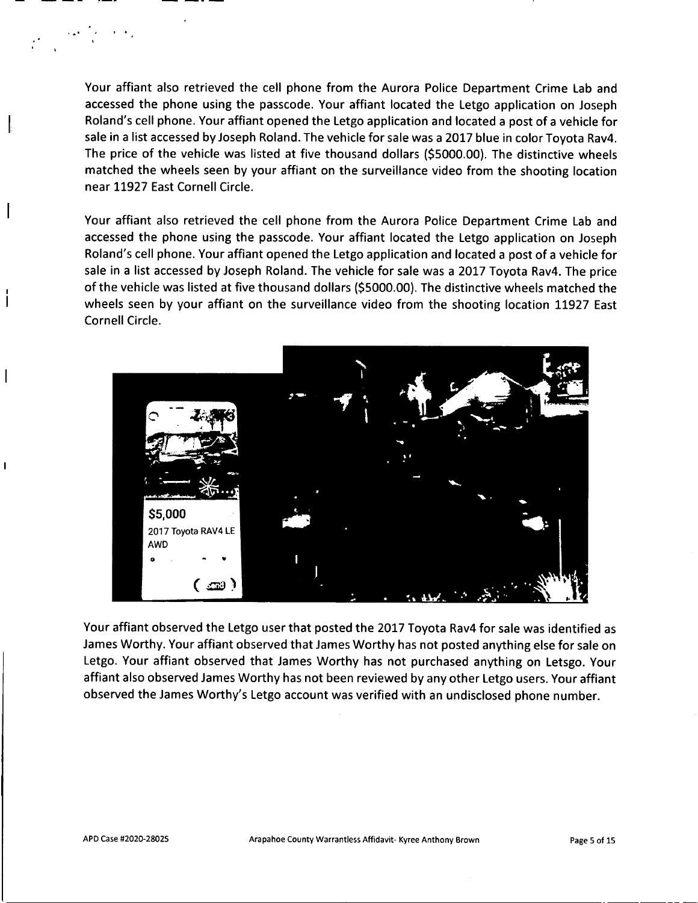**Your affiant also retrieved the cell phone from the Aurora Police Department Crime Lab and accessed the phone using the passcode. Your affiant located the Letgo application on Joseph Roland's cell phone. Your affiant opened the Letgo application and located a post of a vehicle for** sale in a list accessed by Joseph Roland. The vehicle for sale was a 2017 blue in color Toyota Rav4. **The price of the vehicle was listed at five thousand dollars (\$5000.00). The distinctive wheels matched the wheels seen by your affiant on the surveillance video from the shooting location near 11927 East Cornell Circle.**

**Your affiant also retrieved the cell phone from the Aurora Police Department Crime Lab and accessed the phone using the passcode. Your affiant located the Letgo application on Joseph Roland's cell phone. Your affiant opened the Letgo application and located a post of a vehicle for** sale in a list accessed by Joseph Roland. The vehicle for sale was a 2017 Toyota Rav4. The price **of the vehicle was listed at five thousand dollars (\$5000.00). The distinctive wheels matched the wheels seen by your affiant on the surveillance video from the shooting location 11927 East Cornell Circle.**



**Your affiant observed the Letgo user that posted the 2017 Toyota Rav4 for sale was identified as James Worthy. Your affiant observed that James Worthy has not posted anything else for sale on Letgo. Your affiant observed that James Worthy has not purchased anything on Letsgo. Your affiant also observed James Worthy has not been reviewed by any other Letgo users. Your affiant observed the James Worthy's Letgo account was verified with an undisclosed phone number.**

 \* •

**I**

 $\overline{\phantom{a}}$ 

 $\mathbf{I}$ 

 $\mathsf{l}$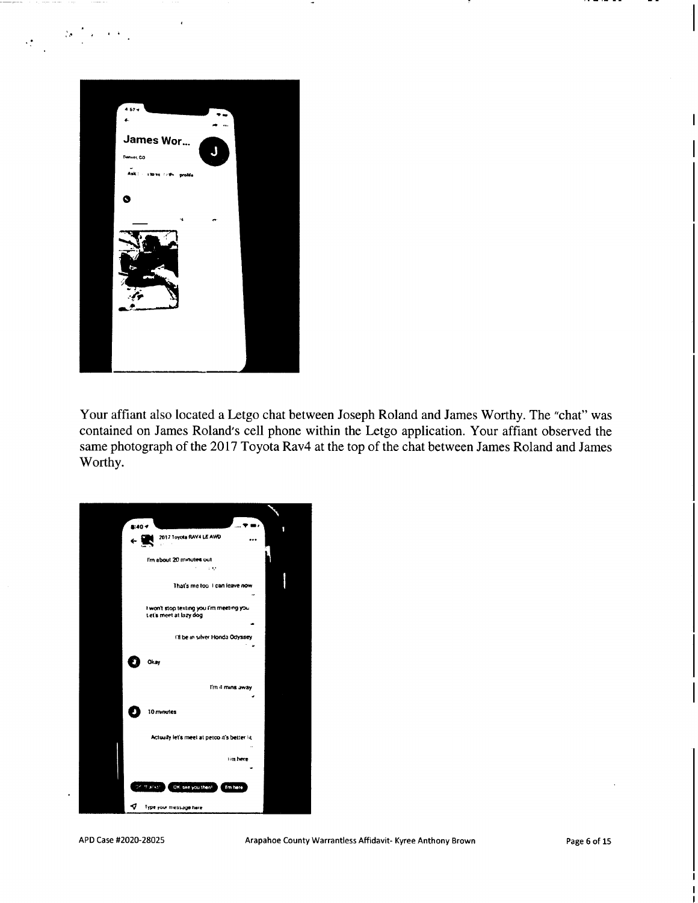

.

I <sup>4</sup> ,• *<sup>4</sup>*

Your affiant also located a Letgo chat between Joseph Roland and James Worthy. The "chat" was contained on James Roland's cell phone within the Letgo application. Your affiant observed the same photograph of the 2017 Toyota Rav4 at the top of the chat between James Roland and James Worthy.



**I**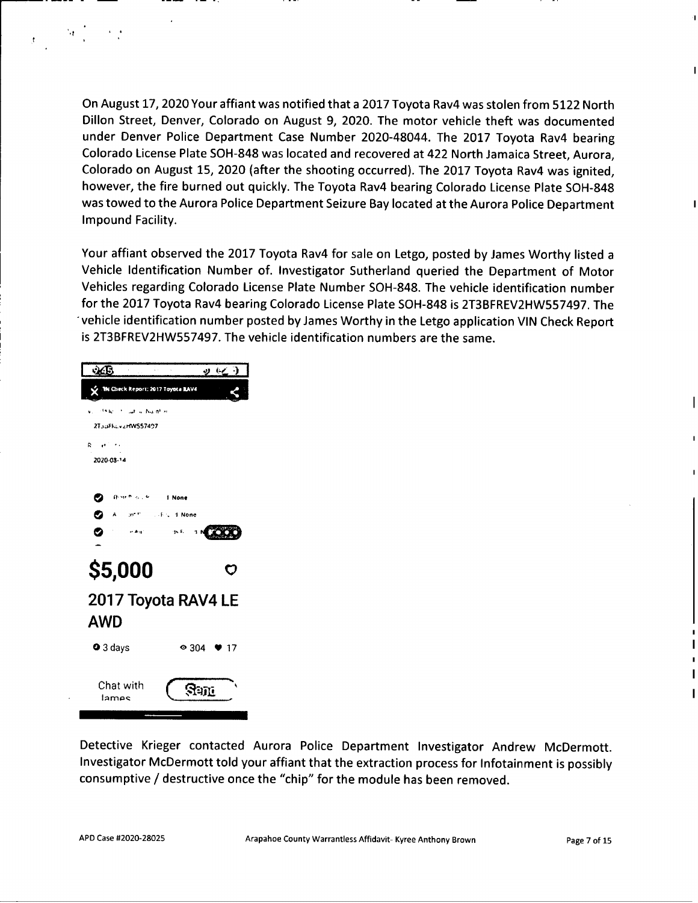On August 17, 2020 Your affiant was notified that a 2017 Toyota Rav4 was stolen from 5122 North **Dillon Street, Denver, Colorado on August 9, 2020. The motor vehicle theft was documented under Denver Police Department Case Number <sup>2020</sup>-48044. The <sup>2017</sup> Toyota Rav<sup>4</sup> bearing Colorado License Plate SOH-<sup>848</sup> was located and recovered at <sup>422</sup> North Jamaica Street, Aurora,** Colorado on August 15, 2020 (after the shooting occurred). The 2017 Toyota Rav4 was ignited, however, the fire burned out quickly. The Toyota Rav4 bearing Colorado License Plate SOH-848 **was towed to the Aurora Police Department Seizure Bay located at the Aurora Police Department Impound Facility.**

Your affiant observed the 2017 Toyota Rav4 for sale on Letgo, posted by James Worthy listed a **Vehicle Identification Number of. Investigator Sutherland queried the Department of Motor Vehicles regarding Colorado License Plate Number SOH-848. The vehicle identification number** for the 2017 Toyota Rav4 bearing Colorado License Plate SOH-848 is 2T3BFREV2HW557497. The **vehicle identification number posted by James Worthy in the Letgo application VIN Check Report is 2T3BFREV2HW557497. The vehicle identification numbers are the same.**

| $\mathcal{L}$                         | 9623                                           |
|---------------------------------------|------------------------------------------------|
| X The Check Report: 2017 Toyota RAV4  |                                                |
| Julian Nulfillin<br>$V_{\rm{eff}}$    |                                                |
| 2TouFhovieRW557497                    |                                                |
| $R = \sigma^2 = \sigma$<br>2020-03-14 |                                                |
|                                       |                                                |
| <b>Green Country</b><br>✓             | 1 None                                         |
| $\sim 10^{10}$                        | $\mathcal{A} \in \mathcal{A}$ .<br><br>:4 None |
| $\sim$ Au (<br>Ø                      | $\Delta \mathbf{x}$<br>- 1 N                   |
|                                       |                                                |
| \$5,000                               | $\mathbf C$                                    |
|                                       | 2017 Toyota RAV4 LE                            |
| <b>AWD</b>                            |                                                |
|                                       |                                                |
| O 3 days                              | $\bullet$ 304 $\bullet$ 17                     |
|                                       |                                                |
| Chat with<br>lames                    | Sent                                           |

**4 i**

**Detective Krieger contacted Aurora Police Department Investigator Andrew McDermott. Investigator McDermott told your affiant that the extraction process for Infotainment is possibly consumptive / destructive once the "chip" for the module has been removed.**

**I**

**i**

**i**

I

I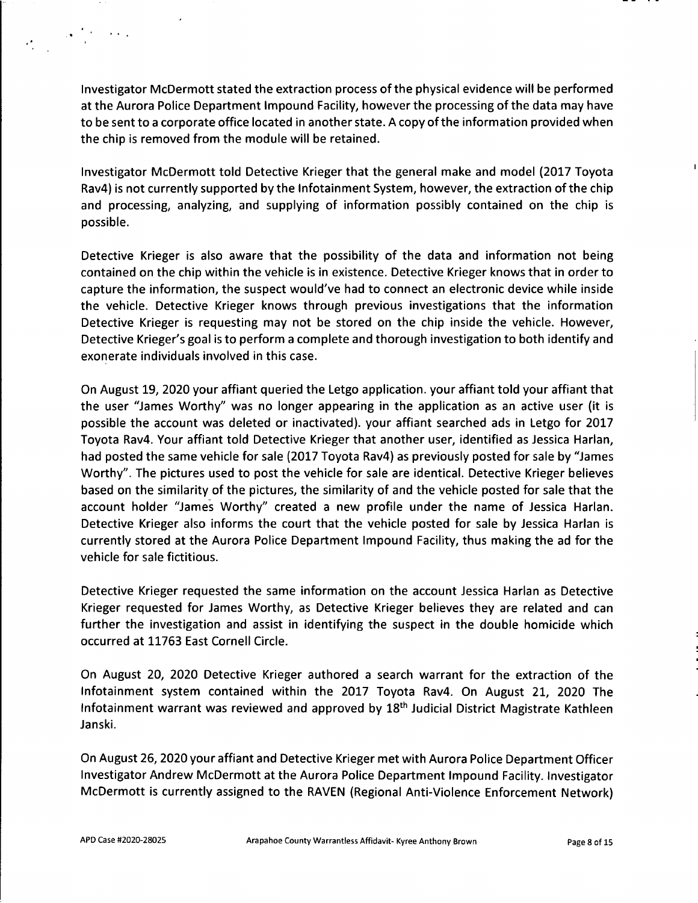**Investigator McDermott stated the extraction process of the physical evidence will be performed at the Aurora Police Department Impound Facility, however the processing of the data may have to be sent to a corporate office located in another state. A copy of the information provided when the chip is removed from the module will be retained.**

**Investigator McDermott told Detective Krieger that the general make and model (2017 Toyota Rav4) is not currently supported by the Infotainment System, however, the extraction of the chip and processing, analyzing, and supplying of information possibly contained on the chip is possible.**

**Detective Krieger is also aware that the possibility of the data and information not being contained on the chip within the vehicle is in existence. Detective Krieger knows that in order to capture the information, the suspect would've had to connect an electronic device while inside the vehicle. Detective Krieger knows through previous investigations that the information Detective Krieger is requesting may not be stored on the chip inside the vehicle. However, Detective Krieger's goal is to perform a complete and thorough investigation to both identify and exonerate individuals involved in this case.**

**On August 19, 2020 your affiant queried the Letgo application, your affiant told your affiant that the user "James Worthy" was no longer appearing in the application as an active user (it is possible the account was deleted or inactivated), your affiant searched ads in Letgo for 2017 Toyota Rav4. Your affiant told Detective Krieger that another user, identified as Jessica Harlan, had posted the same vehicle for sale (2017 Toyota Rav4) as previously posted for sale by "James Worthy". The pictures used to post the vehicle for sale are identical. Detective Krieger believes** based on the similarity of the pictures, the similarity of and the vehicle posted for sale that the **account holder "James Worthy" created a new profile under the name of Jessica Harlan. Detective Krieger also informs the court that the vehicle posted for sale by Jessica Harlan is currently stored at the Aurora Police Department Impound Facility, thus making the ad for the vehicle for sale fictitious.**

**Detective Krieger requested the same information on the account Jessica Harlan as Detective Krieger requested for James Worthy, as Detective Krieger believes they are related and can further the investigation and assist in identifying the suspect in the double homicide which occurred at 11763 East Cornell Circle.**

**On August 20, 2020 Detective Krieger authored <sup>a</sup> search warrant for the extraction of the Infotainment system contained within the 2017 Toyota Rav4. On August 21, 2020 The Infotainment warrant was reviewed and approved by 18th Judicial District Magistrate Kathleen Janski.**

**On August 26, 2020 your affiant and Detective Krieger met with Aurora Police Department Officer Investigator Andrew McDermott at the Aurora Police Department Impound Facility. Investigator McDermott is currently assigned to the RAVEN (Regional Anti-Violence Enforcement Network)**

**,** \*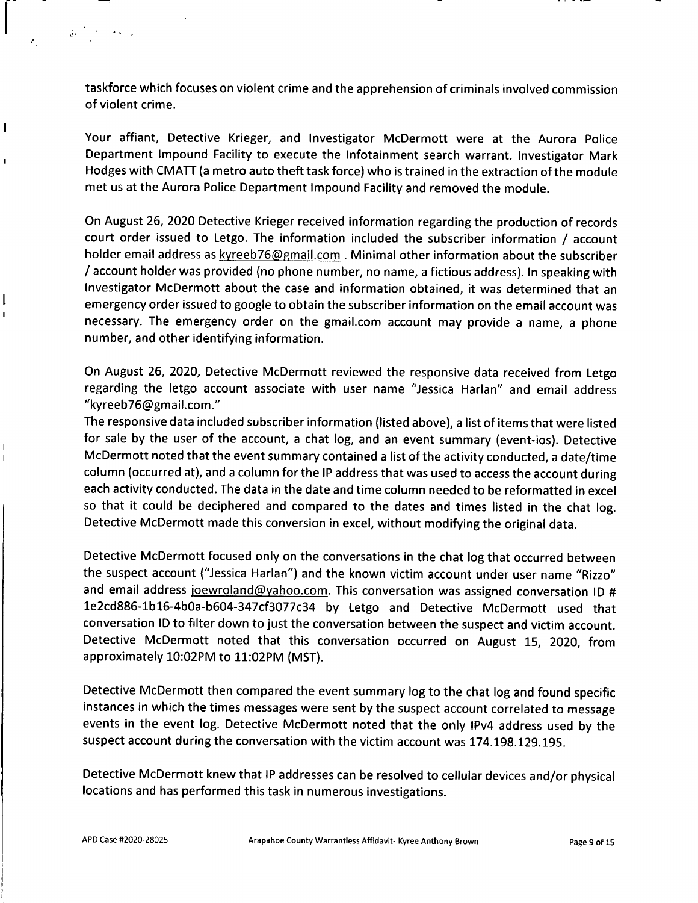• »

**I**

 $\mathbf{I}$ 

I

**taskforce which focuses on violent crime and the apprehension of criminals involved commission of violent crime.**

**Your affiant, Detective Krieger, and Investigator McDermott were at the Aurora Police Department Impound Facility to execute the Infotainment search warrant. Investigator Mark** Hodges with CMATT (a metro auto theft task force) who is trained in the extraction of the module **met us at the Aurora Police Department Impound Facility and removed the module.**

**On August 26, <sup>2020</sup> Detective Krieger received information regarding the production of records court order issued to Letgo. The information included the subscriber information / account holder email address as kyreeb76@fimail.com Minimal other information about the subscriber** / account holder was provided (no phone number, no name, a fictious address). In speaking with **Investigator McDermott about the case and information obtained, it was determined that an emergency order issued to google to obtain the subscriber information on the email account was necessary. The emergency order on the gmail.com account may provide <sup>a</sup> name, <sup>a</sup> phone number, and other identifying information.**

**On August <sup>26</sup>, <sup>2020</sup>, Detective McDermott reviewed the responsive data received from Letgo regarding the letgo account associate with user name "Jessica Harlan" and email address "kyreeb76@gmail.com."**

The responsive data included subscriber information (listed above), a list of items that were listed for sale by the user of the account, a chat log, and an event summary (event-ios). Detective **McDermott noted that the event summary contained <sup>a</sup> list of the activity conducted, <sup>a</sup> date/time** column (occurred at), and a column for the IP address that was used to access the account during **each activity conducted. The data in the date and time column needed to be reformatted in excel so that it could be deciphered and compared to the dates and times listed in the chat log. Detective McDermott made this conversion in excel, without modifying the original data.**

**Detective McDermott focused only on the conversations in the chat log that occurred between** the suspect account ("Jessica Harlan") and the known victim account under user name "Rizzo" **and email address ioewroland@vahoo.com. This conversation was assigned conversation ID #** 1e2cd886-1b16-4b0a-b604-347cf3077c34 by Letgo and Detective McDermott used that **conversation ID to filter down to just the conversation between the suspect and victim account. Detective McDermott noted that this conversation occurred on August <sup>15</sup>, <sup>2020</sup>, from approximately 10:02PM to <sup>11</sup>:02PM (MST).**

**Detective McDermott then compared the event summary log to the chat log and found specific instances in which the times messages were sent by the suspect account correlated to message events in the event log. Detective McDermott noted that the only IPv<sup>4</sup> address used by the suspect account during the conversation with the victim account was 174.198.129.195.**

**Detective McDermott knew that IP addresses can be resolved to cellular devices and/or physical locations and has performed this task in numerous investigations.**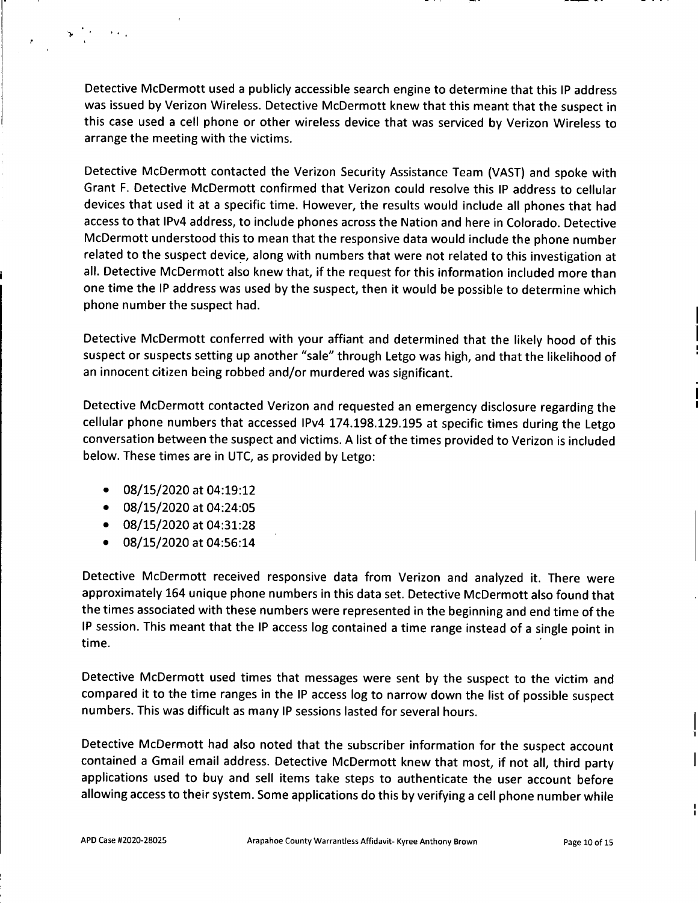**Detective McDermott used <sup>a</sup> publicly accessible search engine to determine that this IP address was issued by Verizon Wireless. Detective McDermott knew that this meant that the suspect in this case used <sup>a</sup> cell phone or other wireless device that was serviced by Verizon Wireless to arrange the meeting with the victims.**

**Detective McDermott contacted the Verizon Security Assistance Team (VAST) and spoke with Grant F. Detective McDermott confirmed that Verizon could resolve this IP address to cellular** devices that used it at a specific time. However, the results would include all phones that had access to that IPv4 address, to include phones across the Nation and here in Colorado. Detective **McDermott understood this to mean that the responsive data would include the phone number related to the suspect device, along with numbers that were not related to this investigation at all. Detective McDermott also knew that, if the request for this information included more than** one time the IP address was used by the suspect, then it would be possible to determine which **phone number the suspect had.**

**Detective McDermott conferred with your affiant and determined that the likely hood of this** suspect or suspects setting up another "sale" through Letgo was high, and that the likelihood of **an innocent citizen being robbed and/or murdered was significant.**

**Detective McDermott contacted Verizon and requested an emergency disclosure** <sup>i</sup> **regarding the cellular phone numbers that accessed IPv<sup>4</sup> 174.198.129.195 at specific times during the Letgo conversation between the suspect and victims. <sup>A</sup> list of the times provided to Verizon is included below. These times are in UTC, as provided by Letgo:**

**• 08/15/2020 at 04:19:12**

**>**

i

- **• 08/15/2020 at 04:24:05**
- **• 08/15/2020 at 04:31:28**
- **• 08/15/2020 at 04:56:14**

**Detective McDermott received responsive data from Verizon and analyzed it. There were approximately 164 unique phone numbers in this data set. Detective McDermott also found that the times associated with these numbers were represented in the beginning and end time of the** IP session. This meant that the IP access log contained a time range instead of a single point in **time.**

**Detective McDermott used times that messages were sent by the suspect to the victim and** compared it to the time ranges in the IP access log to narrow down the list of possible suspect **numbers. This was difficult as many IP sessions lasted for several hours.**

**Detective McDermott had also noted that the subscriber information for the suspect account contained <sup>a</sup> Gmail email address. Detective McDermott knew that most, if not all, third party applications used to buy and sell items take steps to authenticate the user account before allowing access to their system. Some applications do this by verifying <sup>a</sup> cell phone number while**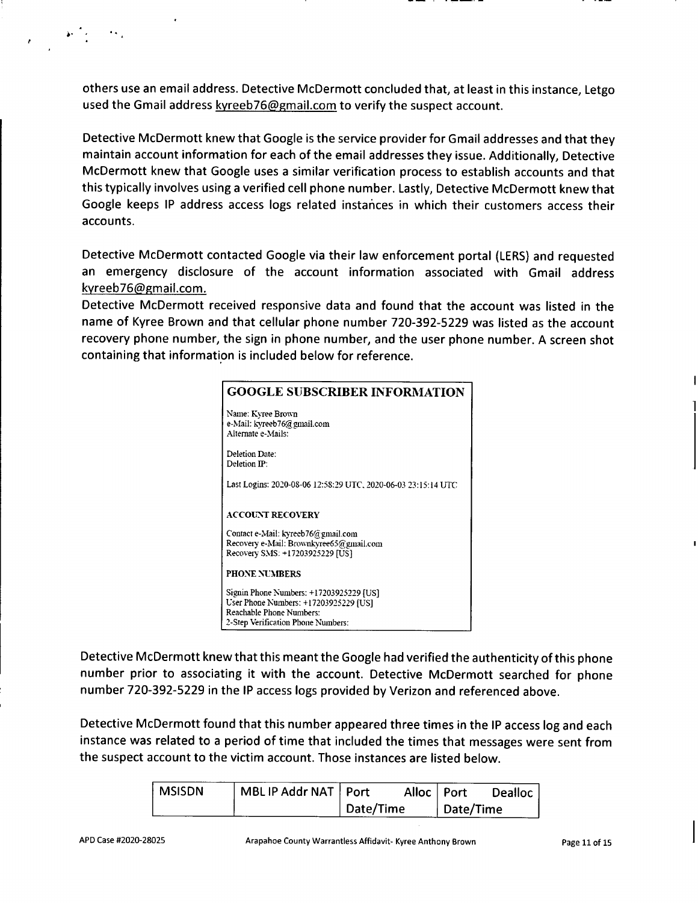**others use an email address. Detective McDermott concluded that, at least in this instance, Letgo used the Gmail address kyreeb76(5)gmail.com to verify the suspect account.**

**Detective McDermott knew that Google is the service provider for Gmail addresses and that they maintain account information for each of the email addresses they issue. Additionally, Detective McDermott knew that Google uses <sup>a</sup> similar verification process to establish accounts and that this typically involves using <sup>a</sup> verified cell phone number. Lastly, Detective McDermott knew that Google keeps IP address access logs related instances in which their customers access their accounts.**

**Detective McDermott contacted Google via their law enforcement portal (LERS) and requested an emergency disclosure of the account information associated with Gmail address kyreeb76@gmail.com.**

**Detective McDermott received responsive data and found that the account was listed in the name of Kyree Brown and that cellular phone number 720-392-5229 was listed as the account recovery phone number, the sign in phone number, and the user phone number. <sup>A</sup> screen shot containing that information is included below for reference.**

| <b>GOOGLE SUBSCRIBER INFORMATION</b>                                                                                                               |
|----------------------------------------------------------------------------------------------------------------------------------------------------|
| Name: Kyree Brown<br>e-Mail: kyreeb76@gmail.com<br>Alternate e-Mails:                                                                              |
| Deletion Date:<br>Deletion IP:                                                                                                                     |
| Last Logins: 2020-08-06 12:58:29 UTC, 2020-06-03 23:15:14 UTC                                                                                      |
| <b>ACCOUNT RECOVERY</b>                                                                                                                            |
| Contact e-Mail: kyreeb76@gmail.com<br>Recovery e-Mail: Brownkyree65@gmail.com<br>Recovery SMS: +17203925229 [US]                                   |
| <b>PHONE NUMBERS</b>                                                                                                                               |
| Signin Phone Numbers: +17203925229 [US]<br>User Phone Numbers: +17203925229 [US]<br>Reachable Phone Numbers:<br>2-Step Verification Phone Numbers: |

**Detective McDermott knew that this meant the Google had verified the authenticity of this phone number prior to associating it with the account. Detective McDermott searched for phone number <sup>720</sup>-392-5229 in the IP access logs provided by Verizon and referenced above.**

**Detective McDermott found that this number appeared three times in the IP access log and each instance was related to <sup>a</sup> period of time that included the times that messages were sent from the suspect account to the victim account. Those instances are listed below.**

| <b>MSISDN</b> | MBL IP Addr NAT   Port |           | Alloc   Port |           | <b>Dealloc</b> |
|---------------|------------------------|-----------|--------------|-----------|----------------|
|               |                        | Date/Time |              | Date/Time |                |

\*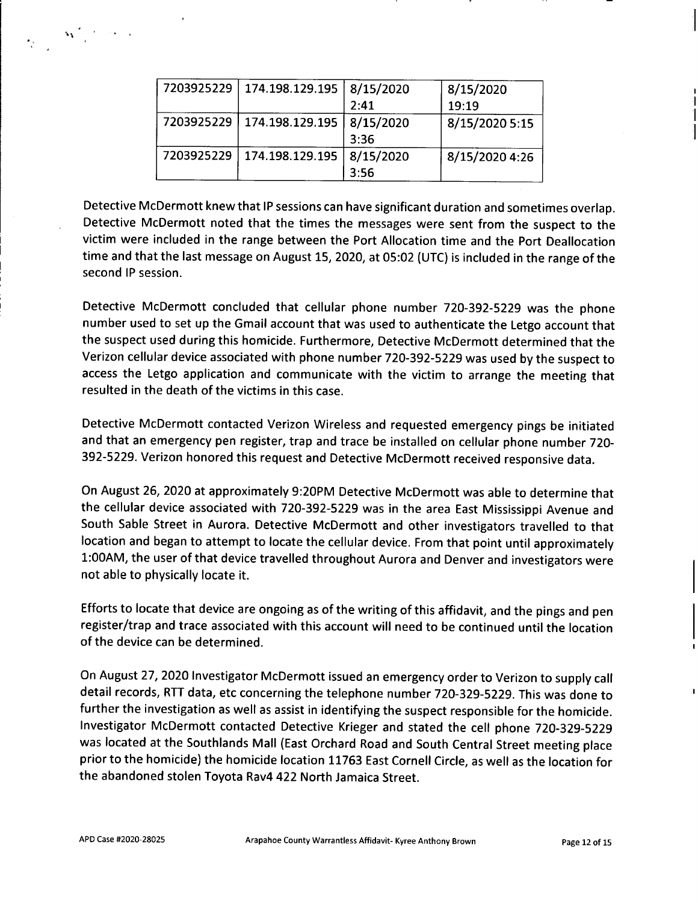| 7203925229 | 174.198.129.195 | 8/15/2020         | 8/15/2020      |
|------------|-----------------|-------------------|----------------|
|            |                 | 2:41              | 19:19          |
| 7203925229 | 174.198.129.195 | 8/15/2020<br>3:36 | 8/15/2020 5:15 |
| 7203925229 | 174.198.129.195 | 8/15/2020<br>3:56 | 8/15/2020 4:26 |

**Detective McDermott knew that IP sessions can have significant duration and sometimes overlap. Detective McDermott noted that the times the messages were sent from the suspect to the victim were included in the range between the Port Allocation time and the Port Deallocation** time and that the last message on August 15, 2020, at 05:02 (UTC) is included in the range of the **second IP session.**

**Detective McDermott concluded that cellular phone number <sup>720</sup>-392-<sup>5229</sup> was the phone number used to set up the Gmail account that was used to authenticate the Letgo account that the suspect used during this homicide. Furthermore, Detective McDermott determined that the Verizon cellular device associated with phone number <sup>720</sup>-392-<sup>5229</sup> was used by the suspect to access the Letgo application and communicate with the victim to arrange the meeting that resulted in the death of the victims in this case.**

**Detective McDermott contacted Verizon Wireless and requested emergency pings be initiated and that an emergency pen register, trap and trace be installed on cellular phone number <sup>720</sup>- <sup>392</sup>-5229. Verizon honored this request and Detective McDermott received responsive data.**

**On August 26, 2020 at approximately 9:20PM Detective McDermott was able to determine that the cellular device associated with <sup>720</sup>-392-<sup>5229</sup> was in the area East Mississippi Avenue and South Sable Street in Aurora. Detective McDermott and other investigators travelled to that location and began to attempt to locate the cellular device. From that point until approximately <sup>1</sup>:00AM,the user of that device travelled throughout Aurora and Denver and investigators were not able to physically locate it.**

Efforts to locate that device are ongoing as of the writing of this affidavit, and the pings and pen **register/trap and trace associated with this account will need to be continued until the location of the device can be determined.**

**On August <sup>27</sup>, <sup>2020</sup> Investigator McDermott issued an emergency order to Verizon to supply call** detail records, RTT data, etc concerning the telephone number 720-329-5229. This was done to **further the investigation as well as assist in identifying the suspect responsible for the homicide. Investigator McDermott contacted Detective Krieger and stated the cell phone <sup>720</sup>-329-<sup>5229</sup> was located at the Southlands Mall (East Orchard Road and South Central Street meeting place** prior to the homicide) the homicide location 11763 East Cornell Circle, as well as the location for **the abandoned stolen Toyota Rav4 422 North Jamaica Street.**

 $\label{eq:3.1} \mathbf{M}^{(2)}_{\text{max}}(t) \geq \epsilon_{\text{max}}$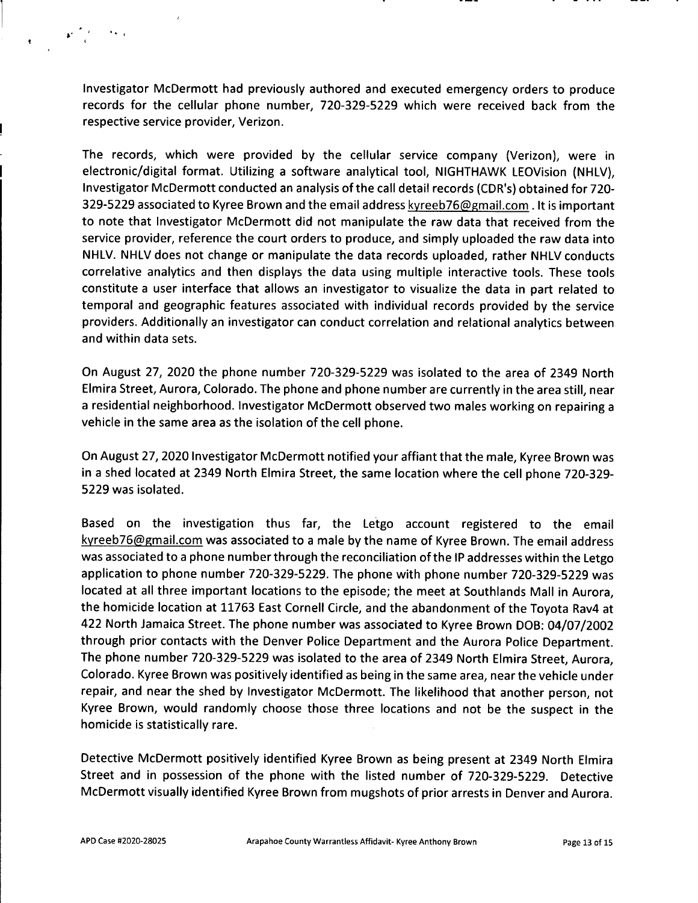**Investigator McDermott had previously authored and executed emergency orders to produce records for the cellular phone number, 720-329-5229 which were received back from the respective service provider, Verizon.**

**The records, which were provided by the cellular service company (Verizon), were in electronic/digital format. Utilizing <sup>a</sup> software analytical tool, NIGHTHAWK LEOVision (NHLV),** Investigator McDermott conducted an analysis of the call detail records (CDR's) obtained for 720-329-5229 associated to Kyree Brown and the email address kyreeb76@gmail.com. It is important **to note that Investigator McDermott did not manipulate the raw data that received from the service provider, reference the court orders to produce, and simply uploaded the raw data into NHLV. NHLV does not change or manipulate the data records uploaded, rather NHLV conducts correlative analytics and then displays the data using multiple interactive tools. These tools constitute <sup>a</sup> user interface that allows an investigator to visualize the data in part related to temporal and geographic features associated with individual records provided by the service providers. Additionally an investigator can conduct correlation and relational analytics between and within data sets.**

On August 27, 2020 the phone number 720-329-5229 was isolated to the area of 2349 North Elmira Street, Aurora, Colorado. The phone and phone number are currently in the area still, near **<sup>a</sup> residential neighborhood. Investigator McDermott observed two males working on repairing <sup>a</sup> vehicle in the same area as the isolation of the cell phone.**

**On August <sup>27</sup>, 2020 Investigator McDermott notified your affiant that the male, Kyree Brown was** in a shed located at 2349 North Elmira Street, the same location where the cell phone 720-329-**5229 was isolated.**

**Based on the investigation thus far, the Letgo account registered to the email** kyreeb76@gmail.com was associated to a male by the name of Kyree Brown. The email address **was associated to <sup>a</sup> phone number through the reconciliation of the IP addresses within the Letgo** application to phone number 720-329-5229. The phone with phone number 720-329-5229 was **located at all three important locations to the episode; the meet at Southlands Mall in Aurora, the homicide location at <sup>11763</sup> East Cornell Circle, and the abandonment of the Toyota Rav<sup>4</sup> at** 422 North Jamaica Street. The phone number was associated to Kyree Brown DOB: 04/07/2002 **through prior contacts with the Denver Police Department and the Aurora Police Department.** The phone number 720-329-5229 was isolated to the area of 2349 North Elmira Street, Aurora, **Colorado. Kyree Brown was positively identified as being in the same area, near the vehicle under repair, and near the shed by Investigator McDermott. The likelihood that another person, not Kyree Brown, would randomly choose those three locations and not be the suspect in the homicide is statistically rare.**

**Detective McDermott positively identified Kyree Brown as being present at <sup>2349</sup> North Elmira Street and in possession of the phone with the listed number of 720-329-5229. Detective McDermott visually identified Kyree Brown from mugshots of prior arrests in Denver and Aurora.**

\* ' «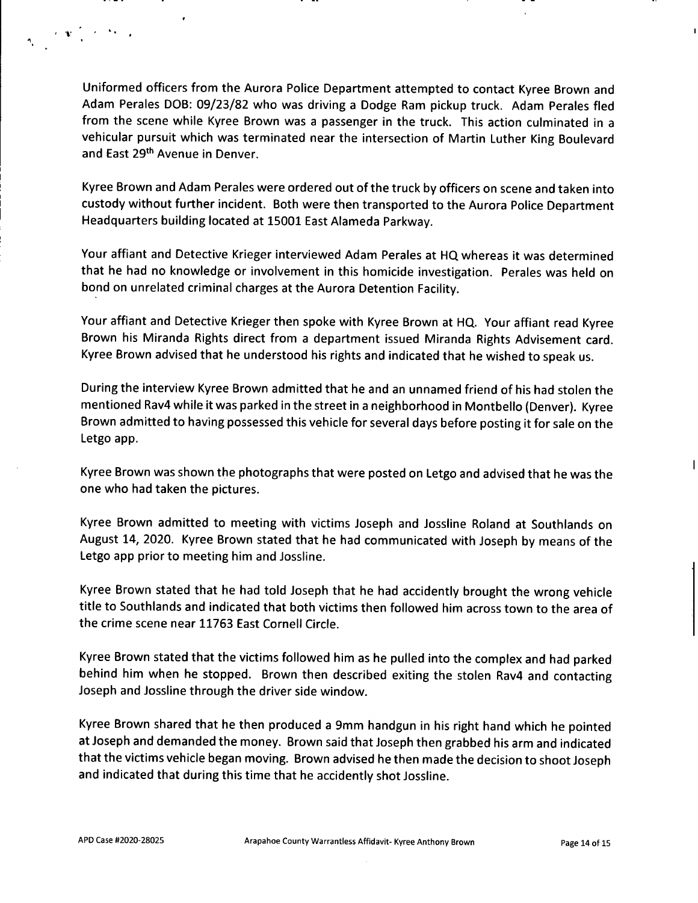**Uniformed officers from the Aurora Police Department attempted to contact Kyree Brown and** Adam Perales DOB: 09/23/82 who was driving a Dodge Ram pickup truck. Adam Perales fled **from the scene while Kyree Brown was <sup>a</sup> passenger in the truck. This action culminated in <sup>a</sup> vehicular pursuit which was terminated near the intersection of Martin Luther King Boulevard and East 29th Avenue in Denver.**

**Kyree Brown and Adam Perales were ordered out of the truck by officers on scene and taken into custody without further incident. Both were then transported to the Aurora Police Department Headquarters building located at 15001East Alameda Parkway.**

**Your affiant and Detective Krieger interviewed Adam Perales at HQ whereas it was determined that he had no knowledge or involvement in this homicide investigation. Perales was held on bond on unrelated criminal charges at the Aurora Detention Facility.**

**Your affiant and Detective Krieger then spoke with Kyree Brown at HQ. Your affiant read Kyree Brown his Miranda Rights direct from <sup>a</sup> department issued Miranda Rights Advisement card. Kyree Brown advised that he understood his rights and indicated that he wished to speak us.**

**During the interview Kyree Brown admitted that he and an unnamed friend of his had stolen the** mentioned Rav4 while it was parked in the street in a neighborhood in Montbello (Denver). Kyree **Brown admitted to having possessed this vehicle for several days before postingit for sale on the Letgo app.**

**Kyree Brown was shown the photographs that were posted on Letgo and advised that he was the one who had taken the pictures.**

**Kyree Brown admitted to meeting with victims Joseph and Jossline Roland at Southlands on August <sup>14</sup>, <sup>2020</sup>. Kyree Brown stated that he had communicated with Joseph by means of the Letgo app prior to meeting him and Jossline.**

**Kyree Brown stated that he had told Joseph that he had accidently brought the wrong vehicle title to Southlands and indicated that both victims then followed him across town to the area of the crime scene near 11763 East Cornell Circle.**

**Kyree Brown stated that the victims followed him as he pulled into the complex and had parked behind him when he stopped. Brown then described exiting the stolen Rav<sup>4</sup> and contacting Joseph and Jossline through the driver side window.**

**Kyree Brown shared that he then produced <sup>a</sup> <sup>9</sup>mm handgun in his right hand which he pointed at Joseph and demanded the money. Brown said that Joseph then grabbed his arm and indicated that the victims vehicle began moving. Brown advised he then made the decision to shoot Joseph and indicated that during this time that he accidently shot Jossline.**

**' .** ' *V*

 $\mathbf{I}$